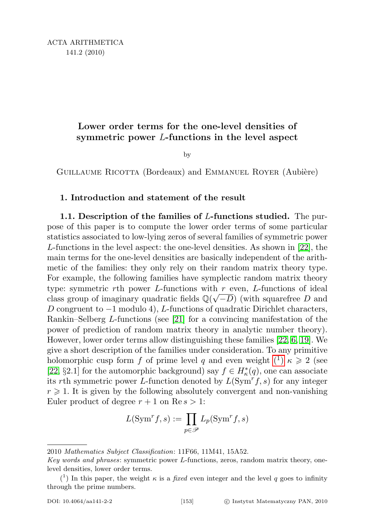## Lower order terms for the one-level densities of symmetric power L-functions in the level aspect

by

GUILLAUME RICOTTA (Bordeaux) and EMMANUEL ROYER (Aubière)

## 1. Introduction and statement of the result

1.1. Description of the families of L-functions studied. The purpose of this paper is to compute the lower order terms of some particular statistics associated to low-lying zeros of several families of symmetric power L-functions in the level aspect: the one-level densities. As shown in [\[22\]](#page-17-0), the main terms for the one-level densities are basically independent of the arithmetic of the families: they only rely on their random matrix theory type. For example, the following families have symplectic random matrix theory type: symmetric rth power L-functions with r even, L-functions of ideal class group of imaginary quadratic fields  $\mathbb{Q}(\sqrt{-D})$  (with squarefree D and D congruent to  $-1$  modulo 4), L-functions of quadratic Dirichlet characters, Rankin–Selberg L-functions (see [\[21\]](#page-17-1) for a convincing manifestation of the power of prediction of random matrix theory in analytic number theory). However, lower order terms allow distinguishing these families [\[22,](#page-17-0) [6,](#page-16-0) [19\]](#page-17-2). We give a short description of the families under consideration. To any primitive holomorphic cusp form f of prime level q and even weight  $(1) \kappa \geq 2$  [\(](#page-0-0)see [\[22,](#page-17-0) §2.1] for the automorphic background) say  $f \in H_{\kappa}^*(q)$ , one can associate its rth symmetric power L-function denoted by  $L(Sym<sup>r</sup>f, s)$  for any integer  $r \geq 1$ . It is given by the following absolutely convergent and non-vanishing Euler product of degree  $r + 1$  on  $\text{Re } s > 1$ :

$$
L(\mathrm{Sym}^r f, s) := \prod_{p \in \mathscr{P}} L_p(\mathrm{Sym}^r f, s)
$$

<sup>2010</sup> Mathematics Subject Classification: 11F66, 11M41, 15A52.

Key words and phrases: symmetric power L-functions, zeros, random matrix theory, onelevel densities, lower order terms.

<span id="page-0-0"></span><sup>(&</sup>lt;sup>1</sup>) In this paper, the weight  $\kappa$  is a *fixed* even integer and the level q goes to infinity through the prime numbers.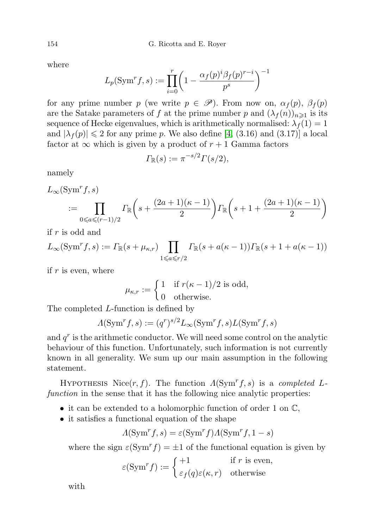where

$$
L_p(\mathrm{Sym}^r f, s) := \prod_{i=0}^r \left(1 - \frac{\alpha_f(p)^i \beta_f(p)^{r-i}}{p^s}\right)^{-1}
$$

for any prime number p (we write  $p \in \mathscr{P}$ ). From now on,  $\alpha_f(p)$ ,  $\beta_f(p)$ are the Satake parameters of f at the prime number p and  $(\lambda_f(n))_{n\geq 1}$  is its sequence of Hecke eigenvalues, which is arithmetically normalised:  $\lambda_f(1) = 1$ and  $|\lambda_f(p)| \leq 2$  for any prime p. We also define [\[4,](#page-16-1) (3.16) and (3.17)] a local factor at  $\infty$  which is given by a product of  $r + 1$  Gamma factors

$$
\Gamma_{\mathbb{R}}(s) := \pi^{-s/2} \Gamma(s/2),
$$

namely

$$
L_{\infty}(\operatorname{Sym}^r f, s)
$$
  
 :=  $\prod_{0 \le a \le (r-1)/2} \Gamma_{\mathbb{R}} \left( s + \frac{(2a+1)(\kappa - 1)}{2} \right) \Gamma_{\mathbb{R}} \left( s + 1 + \frac{(2a+1)(\kappa - 1)}{2} \right)$ 

if r is odd and

$$
L_{\infty}(\operatorname{Sym}^r f, s) := \Gamma_{\mathbb{R}}(s + \mu_{\kappa, r}) \prod_{1 \leq a \leq r/2} \Gamma_{\mathbb{R}}(s + a(\kappa - 1)) \Gamma_{\mathbb{R}}(s + 1 + a(\kappa - 1))
$$

if  $r$  is even, where

$$
\mu_{\kappa,r} := \begin{cases} 1 & \text{if } r(\kappa - 1)/2 \text{ is odd,} \\ 0 & \text{otherwise.} \end{cases}
$$

The completed L-function is defined by

$$
\Lambda(\operatorname{Sym}^r f, s) := (q^r)^{s/2} L_{\infty}(\operatorname{Sym}^r f, s) L(\operatorname{Sym}^r f, s)
$$

and  $q<sup>r</sup>$  is the arithmetic conductor. We will need some control on the analytic behaviour of this function. Unfortunately, such information is not currently known in all generality. We sum up our main assumption in the following statement.

HYPOTHESIS Nice $(r, f)$ . The function  $\Lambda(\text{Sym}^r f, s)$  is a completed Lfunction in the sense that it has the following nice analytic properties:

- it can be extended to a holomorphic function of order 1 on  $\mathbb{C}$ ,
- it satisfies a functional equation of the shape

$$
\Lambda(\mathrm{Sym}^r f, s) = \varepsilon(\mathrm{Sym}^r f) \Lambda(\mathrm{Sym}^r f, 1 - s)
$$

where the sign  $\varepsilon(Sym^r f) = \pm 1$  of the functional equation is given by

$$
\varepsilon(\operatorname{Sym}^r f) := \begin{cases} +1 & \text{if } r \text{ is even,} \\ \varepsilon_f(q)\varepsilon(\kappa, r) & \text{otherwise} \end{cases}
$$

with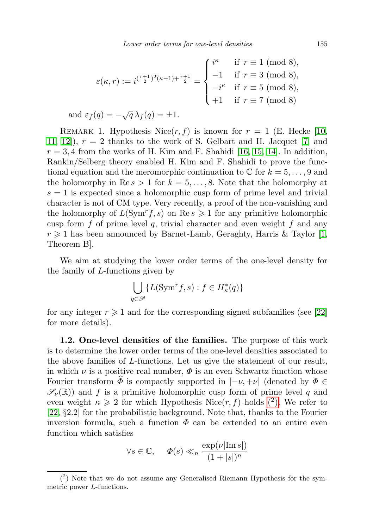$$
\varepsilon(\kappa, r) := i^{(\frac{r+1}{2})^2(\kappa - 1) + \frac{r+1}{2}} = \begin{cases} i^{\kappa} & \text{if } r \equiv 1 \pmod{8}, \\ -1 & \text{if } r \equiv 3 \pmod{8}, \\ -i^{\kappa} & \text{if } r \equiv 5 \pmod{8}, \\ +1 & \text{if } r \equiv 7 \pmod{8} \end{cases}
$$
  
and  $\varepsilon_f(q) = -\sqrt{q} \lambda_f(q) = \pm 1$ .

REMARK 1. Hypothesis Nice $(r, f)$  is known for  $r = 1$  (E. Hecke [\[10,](#page-17-3) [11,](#page-17-4) 12,  $|r| = 2$  thanks to the work of S. Gelbart and H. Jacquet [\[7\]](#page-16-2) and  $r = 3, 4$  from the works of H. Kim and F. Shahidi [\[16,](#page-17-6) [15,](#page-17-7) [14\]](#page-17-8). In addition, Rankin/Selberg theory enabled H. Kim and F. Shahidi to prove the functional equation and the meromorphic continuation to  $\mathbb C$  for  $k = 5, \ldots, 9$  and the holomorphy in  $\text{Re } s > 1$  for  $k = 5, \ldots, 8$ . Note that the holomorphy at  $s = 1$  is expected since a holomorphic cusp form of prime level and trivial character is not of CM type. Very recently, a proof of the non-vanishing and the holomorphy of  $L(Sym<sup>r</sup>f, s)$  on Re  $s \geq 1$  for any primitive holomorphic cusp form f of prime level q, trivial character and even weight f and any  $r \geq 1$  has been announced by Barnet-Lamb, Geraghty, Harris & Taylor [\[1,](#page-16-3) Theorem B].

We aim at studying the lower order terms of the one-level density for the family of L-functions given by

$$
\bigcup_{q \in \mathscr{P}} \{ L(\mathrm{Sym}^r f, s) : f \in H^*_\kappa(q) \}
$$

for any integer  $r \geqslant 1$  and for the corresponding signed subfamilies (see [\[22\]](#page-17-0) for more details).

1.2. One-level densities of the families. The purpose of this work is to determine the lower order terms of the one-level densities associated to the above families of L-functions. Let us give the statement of our result, in which  $\nu$  is a positive real number,  $\Phi$  is an even Schwartz function whose Fourier transform  $\Phi$  is compactly supported in  $[-\nu, +\nu]$  (denoted by  $\Phi \in$  $\mathscr{S}_{\nu}(\mathbb{R})$  and f is a primitive holomorphic cusp form of prime level q and even weight  $\kappa \geqslant 2$  for which Hypothesis Nice(r, f) holds (2[\).](#page-2-0) We refer to [\[22,](#page-17-0) §2.2] for the probabilistic background. Note that, thanks to the Fourier inversion formula, such a function  $\Phi$  can be extended to an entire even function which satisfies

$$
\forall s \in \mathbb{C}, \quad \Phi(s) \ll_n \frac{\exp(\nu |\operatorname{Im} s|)}{(1+|s|)^n}
$$

<span id="page-2-0"></span><sup>(</sup> 2 ) Note that we do not assume any Generalised Riemann Hypothesis for the symmetric power L-functions.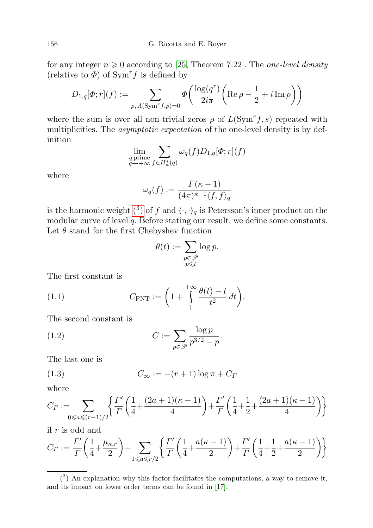for any integer  $n \geq 0$  according to [\[25,](#page-17-9) Theorem 7.22]. The *one-level density* (relative to  $\Phi$ ) of Sym<sup>r</sup>f is defined by

$$
D_{1,q}[\Phi;r](f) := \sum_{\rho,\,\Lambda(\mathrm{Sym}^r f, \rho) = 0} \Phi\left(\frac{\log(q^r)}{2i\pi} \left(\mathrm{Re}\,\rho - \frac{1}{2} + i\,\mathrm{Im}\,\rho\right)\right)
$$

where the sum is over all non-trivial zeros  $\rho$  of  $L(Sym<sup>r</sup>f, s)$  repeated with multiplicities. The *asymptotic expectation* of the one-level density is by definition

$$
\lim_{\substack{q \text{ prime} \\ q \to +\infty}} \sum_{f \in H^*_\kappa(q)} \omega_q(f) D_{1,q}[\Phi; r](f)
$$

where

$$
\omega_q(f) := \frac{\Gamma(\kappa - 1)}{(4\pi)^{\kappa - 1} \langle f, f \rangle_q}
$$

is the harmonic weight (<sup>3</sup>[\)](#page-3-0) of f and  $\langle \cdot, \cdot \rangle_q$  is Petersson's inner product on the modular curve of level q. Before stating our result, we define some constants. Let  $\theta$  stand for the first Chebyshev function

<span id="page-3-2"></span><span id="page-3-1"></span>
$$
\theta(t) := \sum_{\substack{p \in \mathcal{P} \\ p \leqslant t}} \log p.
$$

The first constant is

(1.1) 
$$
C_{\text{PNT}} := \left(1 + \int_{1}^{+\infty} \frac{\theta(t) - t}{t^2} dt\right).
$$

The second constant is

(1.2) 
$$
C := \sum_{p \in \mathscr{P}} \frac{\log p}{p^{3/2} - p}.
$$

The last one is

<span id="page-3-3"></span>
$$
(1.3) \tC_{\infty} := -(r+1)\log \pi + C_{\Gamma}
$$

where

$$
C_{\Gamma} := \sum_{0 \le a \le (r-1)/2} \left\{ \frac{\Gamma'}{\Gamma} \left( \frac{1}{4} + \frac{(2a+1)(\kappa - 1)}{4} \right) + \frac{\Gamma'}{\Gamma} \left( \frac{1}{4} + \frac{1}{2} + \frac{(2a+1)(\kappa - 1)}{4} \right) \right\}
$$

if r is odd and

$$
C_{\Gamma} := \frac{\Gamma'}{\Gamma} \left( \frac{1}{4} + \frac{\mu_{\kappa,r}}{2} \right) + \sum_{1 \leq a \leq r/2} \left\{ \frac{\Gamma'}{\Gamma} \left( \frac{1}{4} + \frac{a(\kappa - 1)}{2} \right) + \frac{\Gamma'}{\Gamma} \left( \frac{1}{4} + \frac{1}{2} + \frac{a(\kappa - 1)}{2} \right) \right\}
$$

<span id="page-3-0"></span> $(3)$  An explanation why this factor facilitates the computations, a way to remove it, and its impact on lower order terms can be found in [\[17\]](#page-17-10).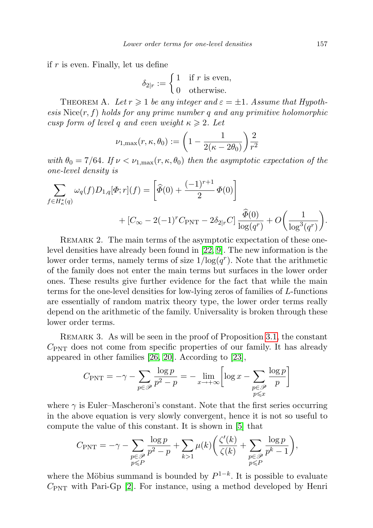if  $r$  is even. Finally, let us define

$$
\delta_{2|r} := \begin{cases} 1 & \text{if } r \text{ is even,} \\ 0 & \text{otherwise.} \end{cases}
$$

<span id="page-4-0"></span>THEOREM A. Let  $r \geq 1$  be any integer and  $\varepsilon = \pm 1$ . Assume that Hypoth $e$ sis Nice $(r, f)$  holds for any prime number q and any primitive holomorphic cusp form of level q and even weight  $\kappa \geq 2$ . Let

$$
\nu_{1,\max}(r,\kappa,\theta_0) := \left(1 - \frac{1}{2(\kappa - 2\theta_0)}\right) \frac{2}{r^2}
$$

with  $\theta_0 = 7/64$ . If  $\nu < \nu_{1,\text{max}}(r,\kappa,\theta_0)$  then the asymptotic expectation of the one-level density is

$$
\sum_{f \in H_{\kappa}^*(q)} \omega_q(f) D_{1,q}[\Phi; r](f) = \left[ \widehat{\Phi}(0) + \frac{(-1)^{r+1}}{2} \Phi(0) \right] + [C_{\infty} - 2(-1)^r C_{\text{PNT}} - 2\delta_{2|r} C] \frac{\widehat{\Phi}(0)}{\log(q^r)} + O\left(\frac{1}{\log^3(q^r)}\right).
$$

REMARK 2. The main terms of the asymptotic expectation of these onelevel densities have already been found in [\[22,](#page-17-0) [9\]](#page-17-11). The new information is the lower order terms, namely terms of size  $1/\log(q^r)$ . Note that the arithmetic of the family does not enter the main terms but surfaces in the lower order ones. These results give further evidence for the fact that while the main terms for the one-level densities for low-lying zeros of families of L-functions are essentially of random matrix theory type, the lower order terms really depend on the arithmetic of the family. Universality is broken through these lower order terms.

REMARK 3. As will be seen in the proof of Proposition [3.1,](#page-9-0) the constant  $C_{\text{PNT}}$  does not come from specific properties of our family. It has already appeared in other families [\[26,](#page-17-12) [20\]](#page-17-13). According to [\[23\]](#page-17-14),

$$
C_{\text{PNT}} = -\gamma - \sum_{p \in \mathcal{P}} \frac{\log p}{p^2 - p} = -\lim_{x \to +\infty} \left[ \log x - \sum_{\substack{p \in \mathcal{P} \\ p \leq x}} \frac{\log p}{p} \right]
$$

where  $\gamma$  is Euler–Mascheroni's constant. Note that the first series occurring in the above equation is very slowly convergent, hence it is not so useful to compute the value of this constant. It is shown in [\[5\]](#page-16-4) that

$$
C_{\text{PNT}} = -\gamma - \sum_{\substack{p \in \mathscr{P} \\ p \leqslant P}} \frac{\log p}{p^2 - p} + \sum_{k > 1} \mu(k) \bigg( \frac{\zeta'(k)}{\zeta(k)} + \sum_{\substack{p \in \mathscr{P} \\ p \leqslant P}} \frac{\log p}{p^k - 1} \bigg),
$$

where the Möbius summand is bounded by  $P^{1-k}$ . It is possible to evaluate  $C_{\text{PNT}}$  with Pari-Gp [\[2\]](#page-16-5). For instance, using a method developed by Henri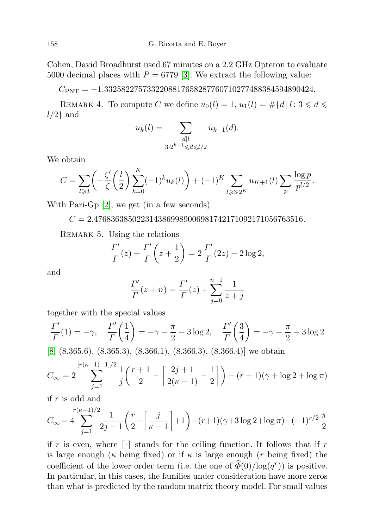Cohen, David Broadhurst used 67 minutes on a 2.2 GHz Opteron to evaluate 5000 decimal places with  $P = 6779$  [\[3\]](#page-16-6). We extract the following value:

 $C_{\rm PNT} = -1.3325822757332208817658287760710277488384594890424.$ 

REMARK 4. To compute C we define  $u_0(l) = 1$ ,  $u_1(l) = #{d | l: 3 \le d \le}$  $l/2$ } and

$$
u_k(l) = \sum_{\substack{d|l \\ 3 \cdot 2^{k-1} \le d \le l/2}} u_{k-1}(d).
$$

We obtain

$$
C = \sum_{l \ge 3} \left( -\frac{\zeta'}{\zeta} \left( \frac{l}{2} \right) \sum_{k=0}^K (-1)^k u_k(l) \right) + (-1)^K \sum_{l \ge 3 \cdot 2^K} u_{K+1}(l) \sum_p \frac{\log p}{p^{l/2}}.
$$

With Pari-Gp [\[2\]](#page-16-5), we get (in a few seconds)

 $\rightarrow$ 

 $C = 2.4768363850223143869989006981742171092171056763516.$ 

REMARK 5. Using the relations

$$
\frac{\Gamma'}{\Gamma}(z) + \frac{\Gamma'}{\Gamma}\left(z + \frac{1}{2}\right) = 2\frac{\Gamma'}{\Gamma}(2z) - 2\log 2,
$$

and

$$
\frac{\Gamma'}{\Gamma}(z+n) = \frac{\Gamma'}{\Gamma}(z) + \sum_{j=0}^{n-1} \frac{1}{z+j}
$$

together with the special values

$$
\frac{\Gamma'}{\Gamma}(1) = -\gamma, \quad \frac{\Gamma'}{\Gamma}\left(\frac{1}{4}\right) = -\gamma - \frac{\pi}{2} - 3\log 2, \quad \frac{\Gamma'}{\Gamma}\left(\frac{3}{4}\right) = -\gamma + \frac{\pi}{2} - 3\log 2
$$

[\[8,](#page-16-7) (8.365.6), (8.365.3), (8.366.1), (8.366.3), (8.366.4)] we obtain

$$
C_{\infty} = 2 \sum_{j=1}^{\lfloor r(\kappa-1)-1 \rfloor/2} \frac{1}{j} \left( \frac{r+1}{2} - \left\lceil \frac{2j+1}{2(\kappa-1)} - \frac{1}{2} \right\rceil \right) - (r+1)(\gamma + \log 2 + \log \pi)
$$

if r is odd and

r(κ

$$
C_{\infty} = 4 \sum_{j=1}^{r(\kappa-1)/2} \frac{1}{2j-1} \left( \frac{r}{2} - \left[ \frac{j}{\kappa-1} \right] + 1 \right) - (r+1)(\gamma+3\log 2 + \log \pi) - (-1)^{r/2} \frac{\pi}{2}
$$

if r is even, where  $\lceil \cdot \rceil$  stands for the ceiling function. It follows that if r is large enough ( $\kappa$  being fixed) or if  $\kappa$  is large enough ( $r$  being fixed) the coefficient of the lower order term (i.e. the one of  $\widehat{\Phi}(0)/\log(q^r)$ ) is positive. In particular, in this cases, the families under consideration have more zeros than what is predicted by the random matrix theory model. For small values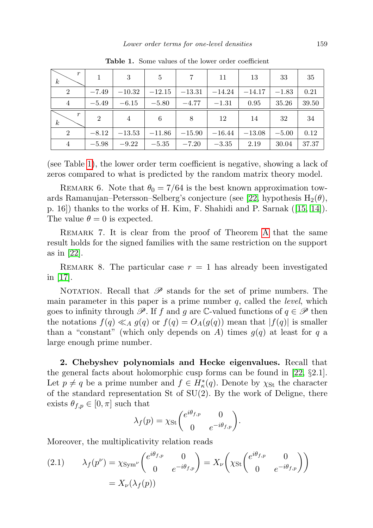| $\boldsymbol{r}$<br>$\boldsymbol{k}$ |                | 3              | 5        | $\overline{7}$ | 11       | 13       | 33      | 35    |
|--------------------------------------|----------------|----------------|----------|----------------|----------|----------|---------|-------|
| $\overline{2}$                       | $-7.49$        | $-10.32$       | $-12.15$ | $-13.31$       | $-14.24$ | $-14.17$ | $-1.83$ | 0.21  |
| $\overline{4}$                       | $-5.49$        | $-6.15$        | $-5.80$  | $-4.77$        | $-1.31$  | 0.95     | 35.26   | 39.50 |
| $\boldsymbol{r}$<br>$\boldsymbol{k}$ | $\overline{2}$ | $\overline{4}$ | 6        | 8              | 12       | 14       | 32      | 34    |
| $\overline{2}$                       | $-8.12$        | $-13.53$       | $-11.86$ | $-15.90$       | $-16.44$ | $-13.08$ | $-5.00$ | 0.12  |
| $\overline{4}$                       | $-5.98$        | $-9.22$        | $-5.35$  | $-7.20$        | $-3.35$  | 2.19     | 30.04   | 37.37 |

<span id="page-6-0"></span>Table 1. Some values of the lower order coefficient

(see Table [1\)](#page-6-0), the lower order term coefficient is negative, showing a lack of zeros compared to what is predicted by the random matrix theory model.

REMARK 6. Note that  $\theta_0 = 7/64$  is the best known approximation tow-ards Ramanujan–Petersson–Selberg's conjecture (see [\[22,](#page-17-0) hypothesis  $H_2(\theta)$ , p. 16]) thanks to the works of H. Kim, F. Shahidi and P. Sarnak ([\[15,](#page-17-7) [14\]](#page-17-8)). The value  $\theta = 0$  is expected.

Remark 7. It is clear from the proof of Theorem [A](#page-4-0) that the same result holds for the signed families with the same restriction on the support as in [\[22\]](#page-17-0).

REMARK 8. The particular case  $r = 1$  has already been investigated in [\[17\]](#page-17-10).

NOTATION. Recall that  $\mathscr P$  stands for the set of prime numbers. The main parameter in this paper is a prime number  $q$ , called the *level*, which goes to infinity through  $\mathscr{P}$ . If f and g are C-valued functions of  $q \in \mathscr{P}$  then the notations  $f(q) \ll_A g(q)$  or  $f(q) = O_A(g(q))$  mean that  $|f(q)|$  is smaller than a "constant" (which only depends on A) times  $g(q)$  at least for q a large enough prime number.

2. Chebyshev polynomials and Hecke eigenvalues. Recall that the general facts about holomorphic cusp forms can be found in [\[22,](#page-17-0)  $\S 2.1$ ]. Let  $p \neq q$  be a prime number and  $f \in H^*_\kappa(q)$ . Denote by  $\chi_{\rm St}$  the character of the standard representation St of  $SU(2)$ . By the work of Deligne, there exists  $\theta_{f,p} \in [0, \pi]$  such that

$$
\lambda_f(p) = \chi_{\rm St} \begin{pmatrix} e^{i\theta_{f,p}} & 0 \\ 0 & e^{-i\theta_{f,p}} \end{pmatrix}.
$$

Moreover, the multiplicativity relation reads

<span id="page-6-1"></span>(2.1) 
$$
\lambda_f(p^{\nu}) = \chi_{\text{Sym}^{\nu}} \begin{pmatrix} e^{i\theta_{f,p}} & 0\\ 0 & e^{-i\theta_{f,p}} \end{pmatrix} = X_{\nu} \begin{pmatrix} \chi_{\text{St}} \begin{pmatrix} e^{i\theta_{f,p}} & 0\\ 0 & e^{-i\theta_{f,p}} \end{pmatrix} \end{pmatrix}
$$

$$
= X_{\nu} (\lambda_f(p))
$$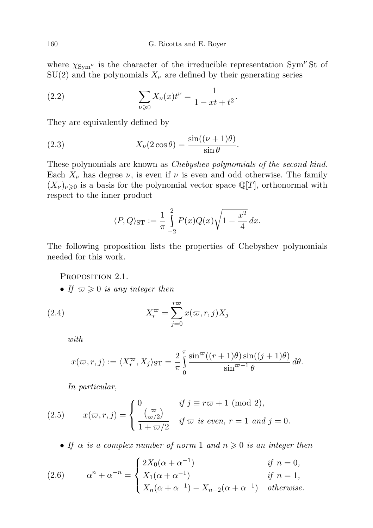where  $\chi_{\text{Sym}^{\nu}}$  is the character of the irreducible representation Sym<sup> $\nu$ </sup>St of  $SU(2)$  and the polynomials  $X_{\nu}$  are defined by their generating series

<span id="page-7-2"></span>(2.2) 
$$
\sum_{\nu \geqslant 0} X_{\nu}(x) t^{\nu} = \frac{1}{1 - xt + t^2}.
$$

They are equivalently defined by

(2.3) 
$$
X_{\nu}(2\cos\theta) = \frac{\sin((\nu+1)\theta)}{\sin\theta}.
$$

These polynomials are known as Chebyshev polynomials of the second kind. Each  $X_{\nu}$  has degree  $\nu$ , is even if  $\nu$  is even and odd otherwise. The family  $(X_{\nu})_{\nu\geqslant0}$  is a basis for the polynomial vector space  $\mathbb{Q}[T]$ , orthonormal with respect to the inner product

<span id="page-7-1"></span>
$$
\langle P, Q \rangle_{\text{ST}} := \frac{1}{\pi} \int_{-2}^{2} P(x)Q(x) \sqrt{1 - \frac{x^2}{4}} dx.
$$

The following proposition lists the properties of Chebyshev polynomials needed for this work.

PROPOSITION 2.1.

• If  $\varpi \geqslant 0$  is any integer then

(2.4) 
$$
X_r^{\varpi} = \sum_{j=0}^{r\varpi} x(\varpi, r, j) X_j
$$

<span id="page-7-0"></span>with

$$
x(\varpi, r, j) := \langle X_r^{\varpi}, X_j \rangle_{\text{ST}} = \frac{2}{\pi} \int_0^{\pi} \frac{\sin^{\varpi}((r+1)\theta)\sin((j+1)\theta)}{\sin^{\varpi-1}\theta} d\theta.
$$

<span id="page-7-3"></span>In particular,

(2.5) 
$$
x(\varpi, r, j) = \begin{cases} 0 & \text{if } j \equiv r\varpi + 1 \pmod{2}, \\ \frac{\varpi}{1 + \varpi/2} & \text{if } \varpi \text{ is even, } r = 1 \text{ and } j = 0. \end{cases}
$$

<span id="page-7-4"></span>• If  $\alpha$  is a complex number of norm 1 and  $n \geq 0$  is an integer then

(2.6) 
$$
\alpha^{n} + \alpha^{-n} = \begin{cases} 2X_{0}(\alpha + \alpha^{-1}) & \text{if } n = 0, \\ X_{1}(\alpha + \alpha^{-1}) & \text{if } n = 1, \\ X_{n}(\alpha + \alpha^{-1}) - X_{n-2}(\alpha + \alpha^{-1}) & \text{otherwise.} \end{cases}
$$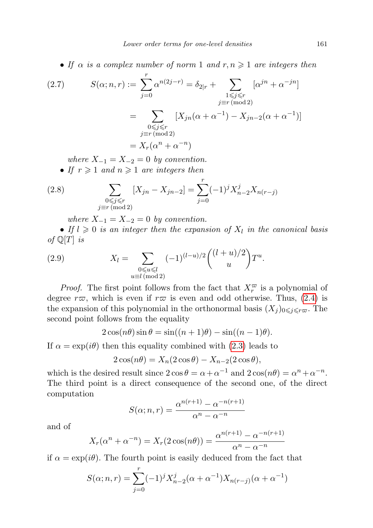• If  $\alpha$  is a complex number of norm 1 and  $r, n \geq 1$  are integers then

<span id="page-8-0"></span>(2.7) 
$$
S(\alpha; n, r) := \sum_{j=0}^{r} \alpha^{n(2j-r)} = \delta_{2|r} + \sum_{\substack{1 \le j \le r \\ j \equiv r \pmod{2} \\ j \equiv r \pmod{2}}} [\alpha^{jn} + \alpha^{-jn}]
$$

$$
= \sum_{\substack{0 \le j \le r \\ j \equiv r \pmod{2} \\ m \equiv x}} [X_{jn}(\alpha + \alpha^{-1}) - X_{jn-2}(\alpha + \alpha^{-1})]
$$

where  $X_{-1} = X_{-2} = 0$  by convention.

<span id="page-8-1"></span>• If  $r \geq 1$  and  $n \geq 1$  are integers then

(2.8) 
$$
\sum_{\substack{0 \le j \le r \\ j \equiv r \, (\text{mod } 2)}} [X_{jn} - X_{jn-2}] = \sum_{j=0}^r (-1)^j X_{n-2}^j X_{n(r-j)}
$$

<span id="page-8-2"></span>where  $X_{-1} = X_{-2} = 0$  by convention.

• If  $l \geqslant 0$  is an integer then the expansion of  $X_l$  in the canonical basis of  $\mathbb{Q}[T]$  is

(2.9) 
$$
X_{l} = \sum_{\substack{0 \le u \le l \\ u \equiv l \pmod{2}}} (-1)^{(l-u)/2} \binom{(l+u)/2}{u} T^{u}.
$$

*Proof.* The first point follows from the fact that  $X_r^{\varpi}$  is a polynomial of degree  $r\varpi$ , which is even if  $r\varpi$  is even and odd otherwise. Thus, [\(2.4\)](#page-7-0) is the expansion of this polynomial in the orthonormal basis  $(X_j)_{0\leq j\leq r\bar{\omega}}$ . The second point follows from the equality

$$
2\cos(n\theta)\sin\theta = \sin((n+1)\theta) - \sin((n-1)\theta).
$$

If  $\alpha = \exp(i\theta)$  then this equality combined with [\(2.3\)](#page-7-1) leads to

$$
2\cos(n\theta) = X_n(2\cos\theta) - X_{n-2}(2\cos\theta),
$$

which is the desired result since  $2 \cos \theta = \alpha + \alpha^{-1}$  and  $2 \cos(n\theta) = \alpha^{n} + \alpha^{-n}$ . The third point is a direct consequence of the second one, of the direct computation

$$
S(\alpha; n, r) = \frac{\alpha^{n(r+1)} - \alpha^{-n(r+1)}}{\alpha^n - \alpha^{-n}}
$$

and of

$$
X_r(\alpha^n + \alpha^{-n}) = X_r(2\cos(n\theta)) = \frac{\alpha^{n(r+1)} - \alpha^{-n(r+1)}}{\alpha^n - \alpha^{-n}}
$$

if  $\alpha = \exp(i\theta)$ . The fourth point is easily deduced from the fact that

$$
S(\alpha; n, r) = \sum_{j=0}^{r} (-1)^j X_{n-2}^j (\alpha + \alpha^{-1}) X_{n(r-j)}(\alpha + \alpha^{-1})
$$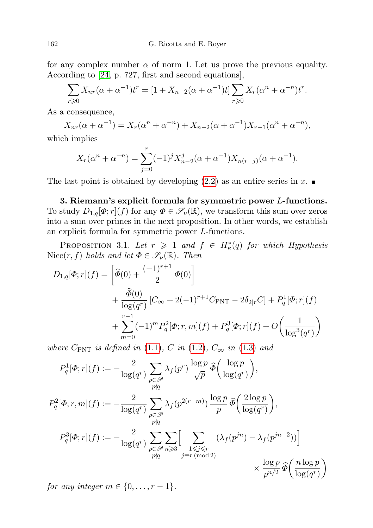for any complex number  $\alpha$  of norm 1. Let us prove the previous equality. According to [\[24,](#page-17-15) p. 727, first and second equations],

$$
\sum_{r\geq 0} X_{nr}(\alpha + \alpha^{-1})t^r = [1 + X_{n-2}(\alpha + \alpha^{-1})t] \sum_{r\geq 0} X_r(\alpha^n + \alpha^{-n})t^r.
$$

As a consequence,

$$
X_{nr}(\alpha + \alpha^{-1}) = X_r(\alpha^n + \alpha^{-n}) + X_{n-2}(\alpha + \alpha^{-1})X_{r-1}(\alpha^n + \alpha^{-n}),
$$

which implies

$$
X_r(\alpha^n + \alpha^{-n}) = \sum_{j=0}^r (-1)^j X_{n-2}^j(\alpha + \alpha^{-1}) X_{n(r-j)}(\alpha + \alpha^{-1}).
$$

The last point is obtained by developing  $(2.2)$  as an entire series in x.

3. Riemann's explicit formula for symmetric power L-functions. To study  $D_{1,q}[\Phi; r](f)$  for any  $\Phi \in \mathscr{S}_{\nu}(\mathbb{R})$ , we transform this sum over zeros into a sum over primes in the next proposition. In other words, we establish an explicit formula for symmetric power L-functions.

<span id="page-9-0"></span>PROPOSITION 3.1. Let  $r \geq 1$  and  $f \in H^*_\kappa(q)$  for which Hypothesis Nice(r, f) holds and let  $\Phi \in \mathscr{S}_{\nu}(\mathbb{R})$ . Then

$$
D_{1,q}[\Phi;r](f) = \left[\hat{\Phi}(0) + \frac{(-1)^{r+1}}{2}\Phi(0)\right] + \frac{\hat{\Phi}(0)}{\log(q^r)}\left[C_{\infty} + 2(-1)^{r+1}C_{\text{PNT}} - 2\delta_{2|r}C\right] + P_q^1[\Phi;r](f) + \sum_{m=0}^{r-1} (-1)^m P_q^2[\Phi;r,m](f) + P_q^3[\Phi;r](f) + O\left(\frac{1}{\log^3(q^r)}\right)
$$

where  $C_{\text{PNT}}$  is defined in [\(1.1\)](#page-3-1), C in [\(1.2\)](#page-3-2),  $C_{\infty}$  in [\(1.3\)](#page-3-3) and

$$
P_q^1[\Phi; r](f) := -\frac{2}{\log(q^r)} \sum_{\substack{p \in \mathcal{P} \\ p \nmid q}} \lambda_f(p^r) \frac{\log p}{\sqrt{p}} \widehat{\Phi}\left(\frac{\log p}{\log(q^r)}\right),
$$
  
\n
$$
P_q^2[\Phi; r, m](f) := -\frac{2}{\log(q^r)} \sum_{\substack{p \in \mathcal{P} \\ p \nmid q}} \lambda_f(p^{2(r-m)}) \frac{\log p}{p} \widehat{\Phi}\left(\frac{2 \log p}{\log(q^r)}\right),
$$
  
\n
$$
P_q^3[\Phi; r](f) := -\frac{2}{\log(q^r)} \sum_{\substack{p \in \mathcal{P} \\ p \nmid q}} \sum_{\substack{1 \le j \le r \\ j \equiv r \pmod{2}}} \left(\lambda_f(p^{jn}) - \lambda_f(p^{jn-2})\right)
$$
  
\n
$$
\times \frac{\log p}{p^{n/2}} \widehat{\Phi}\left(\frac{n \log p}{\log(q^r)}\right)
$$

for any integer  $m \in \{0, \ldots, r-1\}.$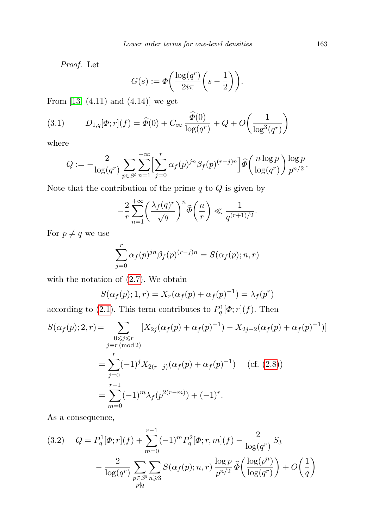Proof. Let

$$
G(s) := \Phi\bigg(\frac{\log(q^r)}{2i\pi}\bigg(s-\frac{1}{2}\bigg)\bigg).
$$

From [\[13,](#page-17-16) (4.11) and (4.14)] we get

(3.1) 
$$
D_{1,q}[\Phi; r](f) = \hat{\Phi}(0) + C_{\infty} \frac{\hat{\Phi}(0)}{\log(q^r)} + Q + O\left(\frac{1}{\log^3(q^r)}\right)
$$

where

$$
Q := -\frac{2}{\log(q^r)} \sum_{p \in \mathscr{P}} \sum_{n=1}^{+\infty} \left[ \sum_{j=0}^r \alpha_j(p)^{jn} \beta_j(p)^{(r-j)n} \right] \widehat{\Phi}\left(\frac{n \log p}{\log(q^r)}\right) \frac{\log p}{p^{n/2}}.
$$

Note that the contribution of the prime  $q$  to  $\mathbb Q$  is given by

$$
-\frac{2}{r}\sum_{n=1}^{+\infty} \left(\frac{\lambda_f(q)^r}{\sqrt{q}}\right)^n \widehat{\Phi}\left(\frac{n}{r}\right) \ll \frac{1}{q^{(r+1)/2}}.
$$

For  $p\neq q$  we use

$$
\sum_{j=0}^{r} \alpha_f(p)^{jn} \beta_f(p)^{(r-j)n} = S(\alpha_f(p); n, r)
$$

with the notation of [\(2.7\)](#page-8-0). We obtain

$$
S(\alpha_f(p); 1, r) = X_r(\alpha_f(p) + \alpha_f(p)^{-1}) = \lambda_f(p^r)
$$

according to [\(2.1\)](#page-6-1). This term contributes to  $P_q^1[\Phi; r](f)$ . Then

$$
S(\alpha_f(p); 2, r) = \sum_{\substack{0 \le j \le r \\ j \equiv r \pmod{2}}} [X_{2j}(\alpha_f(p) + \alpha_f(p)^{-1}) - X_{2j-2}(\alpha_f(p) + \alpha_f(p)^{-1})]
$$
  

$$
= \sum_{j=0}^r (-1)^j X_{2(r-j)}(\alpha_f(p) + \alpha_f(p)^{-1}) \quad \text{(cf. (2.8))}
$$
  

$$
= \sum_{m=0}^{r-1} (-1)^m \lambda_f(p^{2(r-m)}) + (-1)^r.
$$

As a consequence,

<span id="page-10-0"></span>(3.2) 
$$
Q = P_q^1[\Phi; r](f) + \sum_{m=0}^{r-1} (-1)^m P_q^2[\Phi; r, m](f) - \frac{2}{\log(q^r)} S_3 - \frac{2}{\log(q^r)} \sum_{\substack{p \in \mathcal{P} \\ p \nmid q}} \sum_{n \ge 3} S(\alpha_f(p); n, r) \frac{\log p}{p^{n/2}} \widehat{\Phi}\left(\frac{\log(p^n)}{\log(q^r)}\right) + O\left(\frac{1}{q}\right)
$$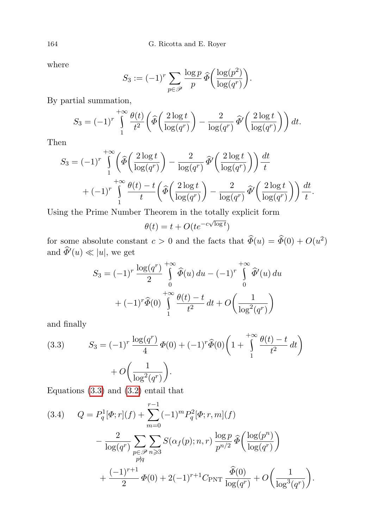where

$$
S_3 := (-1)^r \sum_{p \in \mathscr{P}} \frac{\log p}{p} \widehat{\Phi}\left(\frac{\log(p^2)}{\log(q^r)}\right).
$$

By partial summation,

$$
S_3 = (-1)^r \int_1^{+\infty} \frac{\theta(t)}{t^2} \left( \widehat{\Phi} \left( \frac{2 \log t}{\log(q^r)} \right) - \frac{2}{\log(q^r)} \widehat{\Phi}' \left( \frac{2 \log t}{\log(q^r)} \right) \right) dt.
$$

Then

$$
S_3 = (-1)^r \int_{1}^{+\infty} \left( \widehat{\Phi}\left(\frac{2\log t}{\log(q^r)}\right) - \frac{2}{\log(q^r)} \widehat{\Phi}'\left(\frac{2\log t}{\log(q^r)}\right) \right) \frac{dt}{t}
$$

$$
+ (-1)^r \int_{1}^{+\infty} \frac{\theta(t) - t}{t} \left( \widehat{\Phi}\left(\frac{2\log t}{\log(q^r)}\right) - \frac{2}{\log(q^r)} \widehat{\Phi}'\left(\frac{2\log t}{\log(q^r)}\right) \right) \frac{dt}{t}.
$$

Using the Prime Number Theorem in the totally explicit form

$$
\theta(t) = t + O(te^{-c\sqrt{\log t}})
$$

for some absolute constant  $c > 0$  and the facts that  $\widehat{\Phi}(u) = \widehat{\Phi}(0) + O(u^2)$ and  $\widehat{\Phi}'(u) \ll |u|$ , we get

$$
S_3 = (-1)^r \frac{\log(q^r)}{2} \int_0^{+\infty} \widehat{\Phi}(u) du - (-1)^r \int_0^{+\infty} \widehat{\Phi}'(u) du
$$

$$
+ (-1)^r \widehat{\Phi}(0) \int_1^{+\infty} \frac{\theta(t) - t}{t^2} dt + O\left(\frac{1}{\log^2(q^r)}\right)
$$

and finally

<span id="page-11-0"></span>(3.3) 
$$
S_3 = (-1)^r \frac{\log(q^r)}{4} \Phi(0) + (-1)^r \widehat{\Phi}(0) \left(1 + \int_1^{+\infty} \frac{\theta(t) - t}{t^2} dt\right) + O\left(\frac{1}{\log^2(q^r)}\right).
$$

Equations  $(3.3)$  and  $(3.2)$  entail that

<span id="page-11-1"></span>(3.4) 
$$
Q = P_q^1[\Phi; r](f) + \sum_{m=0}^{r-1} (-1)^m P_q^2[\Phi; r, m](f)
$$

$$
- \frac{2}{\log(q^r)} \sum_{\substack{p \in \mathcal{P} \\ p \nmid q}} \sum_{n \ge 3} S(\alpha_f(p); n, r) \frac{\log p}{p^{n/2}} \widehat{\Phi}\left(\frac{\log(p^n)}{\log(q^r)}\right)
$$

$$
+ \frac{(-1)^{r+1}}{2} \Phi(0) + 2(-1)^{r+1} C_{\text{PNT}} \frac{\widehat{\Phi}(0)}{\log(q^r)} + O\left(\frac{1}{\log^3(q^r)}\right).
$$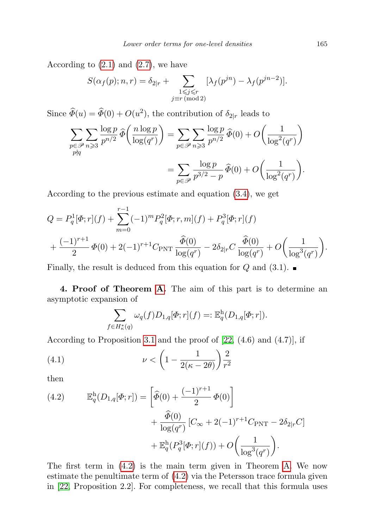According to  $(2.1)$  and  $(2.7)$ , we have

$$
S(\alpha_f(p); n, r) = \delta_{2|r} + \sum_{\substack{1 \leqslant j \leqslant r \\ j \equiv r \pmod{2}}} [\lambda_f(p^{jn}) - \lambda_f(p^{jn-2})].
$$

Since  $\widehat{\Phi}(u) = \widehat{\Phi}(0) + O(u^2)$ , the contribution of  $\delta_{2|r}$  leads to

$$
\sum_{\substack{p \in \mathcal{P} \\ p \nmid q}} \sum_{n \geqslant 3} \frac{\log p}{p^{n/2}} \widehat{\Phi}\left(\frac{n \log p}{\log(q^r)}\right) = \sum_{p \in \mathcal{P}} \sum_{n \geqslant 3} \frac{\log p}{p^{n/2}} \widehat{\Phi}(0) + O\left(\frac{1}{\log^2(q^r)}\right)
$$

$$
= \sum_{p \in \mathcal{P}} \frac{\log p}{p^{3/2} - p} \widehat{\Phi}(0) + O\left(\frac{1}{\log^2(q^r)}\right).
$$

According to the previous estimate and equation [\(3.4\)](#page-11-1), we get

$$
Q = P_q^1[\Phi; r](f) + \sum_{m=0}^{r-1} (-1)^m P_q^2[\Phi; r, m](f) + P_q^3[\Phi; r](f) + \frac{(-1)^{r+1}}{2} \Phi(0) + 2(-1)^{r+1} C_{\text{PNT}} \frac{\hat{\Phi}(0)}{\log(q^r)} - 2\delta_{2|r} C \frac{\hat{\Phi}(0)}{\log(q^r)} + O\left(\frac{1}{\log^3(q^r)}\right).
$$

Finally, the result is deduced from this equation for Q and  $(3.1)$ .

4. Proof of Theorem [A.](#page-4-0) The aim of this part is to determine an asymptotic expansion of

<span id="page-12-1"></span>
$$
\sum_{f \in H_{\kappa}^*(q)} \omega_q(f) D_{1,q}[\Phi; r](f) =: \mathbb{E}_q^h(D_{1,q}[\Phi; r]).
$$

According to Proposition [3.1](#page-9-0) and the proof of [\[22,](#page-17-0) (4.6) and (4.7)], if

$$
(4.1) \qquad \qquad \nu < \left(1 - \frac{1}{2(\kappa - 2\theta)}\right) \frac{2}{r^2}
$$

then

<span id="page-12-0"></span>(4.2) 
$$
\mathbb{E}_q^{\text{h}}(D_{1,q}[\Phi; r]) = \left[\hat{\varPhi}(0) + \frac{(-1)^{r+1}}{2} \Phi(0)\right] + \frac{\hat{\varPhi}(0)}{\log(q^r)} \left[C_{\infty} + 2(-1)^{r+1} C_{\text{PNT}} - 2\delta_{2|r} C\right] + \mathbb{E}_q^{\text{h}}(P_q^3[\Phi; r](f)) + O\left(\frac{1}{\log^3(q^r)}\right).
$$

The first term in [\(4.2\)](#page-12-0) is the main term given in Theorem [A.](#page-4-0) We now estimate the penultimate term of [\(4.2\)](#page-12-0) via the Petersson trace formula given in [\[22,](#page-17-0) Proposition 2.2]. For completeness, we recall that this formula uses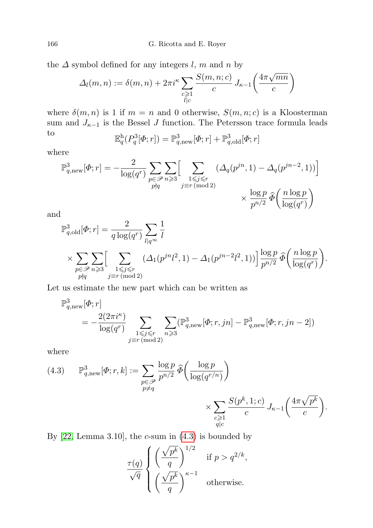166 G. Ricotta and E. Royer

the  $\Delta$  symbol defined for any integers l, m and n by

$$
\Delta_l(m,n) := \delta(m,n) + 2\pi i^{\kappa} \sum_{\substack{c \geqslant 1 \\ l|c}} \frac{S(m,n;c)}{c} J_{\kappa-1}\left(\frac{4\pi\sqrt{mn}}{c}\right)
$$

where  $\delta(m, n)$  is 1 if  $m = n$  and 0 otherwise,  $S(m, n; c)$  is a Kloosterman sum and  $J_{\kappa-1}$  is the Bessel J function. The Petersson trace formula leads to **E** h 3 3 3

$$
\mathbb{E}_q^{\mathrm{h}}(P_q^3[\Phi; r]) = \mathbb{P}_{q,\mathrm{new}}^3[\Phi; r] + \mathbb{P}_{q,\mathrm{old}}^3[\Phi; r]
$$

where

$$
\mathbb{P}^3_{q,\text{new}}[\varPhi;r] = -\frac{2}{\log(q^r)} \sum_{\substack{p \in \mathcal{P} \\ p \nmid q}} \sum_{\substack{n \geqslant 3 \\ j \equiv r \, (\text{mod } 2)}} \left[ \sum_{\substack{1 \leqslant j \leqslant r \\ j \equiv r \, (\text{mod } 2)}} \left( \Delta_q(p^{jn},1) - \Delta_q(p^{jn-2},1) \right) \right]
$$

$$
\times \frac{\log p}{p^{n/2}} \widehat{\varPhi}\left(\frac{n \log p}{\log(q^r)}\right)
$$

and

$$
\begin{split} &\mathbb{P}^3_{q,\text{old}}[\varPhi;r] = \frac{2}{q\log(q^r)}\sum_{l|q^{\infty}}\frac{1}{l}\\ &\times \sum_{\substack{p\in \mathscr{P} \\ p\nmid q}}\sum_{n\geqslant 3}\Bigl[\sum_{\substack{1\leqslant j\leqslant r \\ j\equiv r\,(\text{mod}\,2)}}\bigl(\varDelta_1(p^{jn}l^2,1)-\varDelta_1(p^{jn-2}l^2,1)\bigr)\Bigr]\frac{\log p}{p^{n/2}}\,\widehat{\varPhi}\biggl(\frac{n\log p}{\log(q^r)}\biggr). \end{split}
$$

Let us estimate the new part which can be written as

$$
\begin{aligned} \mathbb{P}^3_{q,\text{new}}[\varPhi;r] \\ = -\frac{2(2\pi i^{\kappa})}{\log(q^r)} \sum_{\substack{1 \leqslant j \leqslant r \\ j \equiv r \:(\text{mod}\:2)}} \sum_{n \geqslant 3} (\mathbb{P}^3_{q,\text{new}}[\varPhi;r,jn] - \mathbb{P}^3_{q,\text{new}}[\varPhi;r,jn-2]) \end{aligned}
$$

where

<span id="page-13-0"></span>(4.3) 
$$
\mathbb{P}^3_{q,\text{new}}[\varPhi;r,k] := \sum_{\substack{p \in \mathcal{P} \\ p \neq q}} \frac{\log p}{p^{n/2}} \widehat{\varPhi}\left(\frac{\log p}{\log(q^{r/n})}\right) \times \sum_{\substack{c \geqslant 1 \\ q \mid c}} \frac{S(p^k, 1; c)}{c} J_{\kappa-1}\left(\frac{4\pi\sqrt{p^k}}{c}\right).
$$

By  $[22, \text{Lemma } 3.10]$  $[22, \text{Lemma } 3.10]$ , the *c*-sum in  $(4.3)$  is bounded by

$$
\frac{\tau(q)}{\sqrt{q}} \begin{cases} \left(\frac{\sqrt{p^k}}{q}\right)^{1/2} & \text{if } p > q^{2/k}, \\ \left(\frac{\sqrt{p^k}}{q}\right)^{\kappa-1} & \text{otherwise.} \end{cases}
$$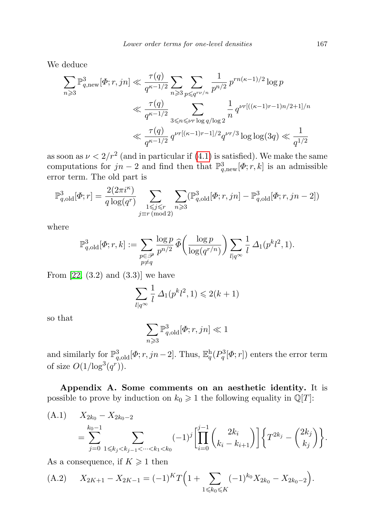We deduce

$$
\begin{split} \sum_{n\geqslant 3}\mathbb{P}^3_{q,\text{new}}[\varPhi;r,jn] &\ll \frac{\tau(q)}{q^{\kappa-1/2}}\sum_{n\geqslant 3}\sum_{p\leqslant q^{r\nu/n}}\frac{1}{p^{n/2}}\,p^{rn(\kappa-1)/2}\log p\\ &\ll \frac{\tau(q)}{q^{\kappa-1/2}}\sum_{3\leqslant n\leqslant \nu r\log q/\log 2}\frac{1}{n}\,q^{\nu r[((\kappa-1)r-1)n/2+1]/n}\\ &\ll \frac{\tau(q)}{q^{\kappa-1/2}}\,q^{\nu r[(\kappa-1)r-1]/2}q^{\nu r/3}\log\log(3q)\ll \frac{1}{q^{1/2}} \end{split}
$$

as soon as  $\nu < 2/r^2$  (and in particular if [\(4.1\)](#page-12-1) is satisfied). We make the same computations for  $jn-2$  and find then that  $\mathbb{P}^3_{q,\text{new}}[\Phi; r, k]$  is an admissible error term. The old part is

$$
\mathbb{P}^3_{q,\text{old}}[\Phi;r] = \frac{2(2\pi i^{\kappa})}{q\log(q^r)} \sum_{\substack{1 \le j \le r \\ j \equiv r \, (\text{mod } 2)}} \sum_{n \ge 3} (\mathbb{P}^3_{q,\text{old}}[\Phi; r, jn] - \mathbb{P}^3_{q,\text{old}}[\Phi; r, jn-2])
$$

where

$$
\mathbb{P}^3_{q, \text{old}}[\Phi; r, k] := \sum_{\substack{p \in \mathcal{P} \\ p \neq q}} \frac{\log p}{p^{n/2}} \widehat{\Phi}\left(\frac{\log p}{\log(q^{r/n})}\right) \sum_{l | q^{\infty}} \frac{1}{l} \Delta_1(p^k l^2, 1).
$$

From  $[22, (3.2)$  $[22, (3.2)$  and  $(3.3)$ ] we have

$$
\sum_{l|q^{\infty}} \frac{1}{l} \,\Delta_1(p^k l^2, 1) \leq 2(k+1)
$$

so that

$$
\sum_{n\geqslant 3} \mathbb{P}^3_{q,\text{old}}[\varPhi;r,jn]\ll 1
$$

and similarly for  $\mathbb{P}^3_{q,old}[\Phi; r, jn-2]$ . Thus,  $\mathbb{E}^{\text{h}}_q(P_q^3[\Phi; r])$  enters the error term of size  $O(1/\log^3(q^r))$ .

Appendix A. Some comments on an aesthetic identity. It is possible to prove by induction on  $k_0 \geq 1$  the following equality in  $\mathbb{Q}[T]$ :

<span id="page-14-0"></span>(A.1) 
$$
X_{2k_0} - X_{2k_0-2}
$$
  
= 
$$
\sum_{j=0}^{k_0-1} \sum_{1 \le k_j < k_{j-1} < \dots < k_1 < k_0} (-1)^j \left[ \prod_{i=0}^{j-1} {2k_i \choose k_i - k_{i+1}} \right] \left\{ T^{2k_j} - {2k_j \choose k_j} \right\}.
$$

As a consequence, if  $K \geq 1$  then

<span id="page-14-1"></span>(A.2) 
$$
X_{2K+1} - X_{2K-1} = (-1)^K T \left( 1 + \sum_{1 \le k_0 \le K} (-1)^{k_0} X_{2k_0} - X_{2k_0 - 2} \right).
$$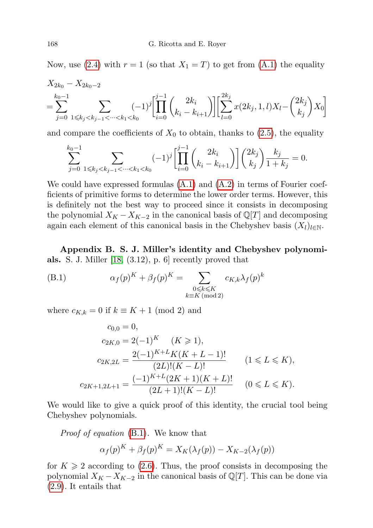Now, use [\(2.4\)](#page-7-0) with  $r = 1$  (so that  $X_1 = T$ ) to get from [\(A.1\)](#page-14-0) the equality

$$
X_{2k_0} - X_{2k_0-2}
$$
  
=  $\sum_{j=0}^{k_0-1} \sum_{1 \le k_j < k_{j-1} < \dots < k_1 < k_0} (-1)^j \left[ \prod_{i=0}^{j-1} {2k_i \choose k_i - k_{i+1}} \right] \left[ \sum_{l=0}^{2k_j} x(2k_j, 1, l) X_l - {2k_j \choose k_j} X_0 \right]$ 

and compare the coefficients of  $X_0$  to obtain, thanks to  $(2.5)$ , the equality

$$
\sum_{j=0}^{k_0-1} \sum_{1 \leq k_j < k_{j-1} < \dots < k_1 < k_0} (-1)^j \left[ \prod_{i=0}^{j-1} \binom{2k_i}{k_i - k_{i+1}} \right] \binom{2k_j}{k_j} \frac{k_j}{1 + k_j} = 0.
$$

We could have expressed formulas  $(A.1)$  and  $(A.2)$  in terms of Fourier coefficients of primitive forms to determine the lower order terms. However, this is definitely not the best way to proceed since it consists in decomposing the polynomial  $X_K - X_{K-2}$  in the canonical basis of  $\mathbb{Q}[T]$  and decomposing again each element of this canonical basis in the Chebyshev basis  $(X_l)_{l\in\mathbb{N}}$ .

Appendix B. S. J. Miller's identity and Chebyshev polynomials. S. J. Miller [\[18,](#page-17-17) (3.12), p. 6] recently proved that

(B.1) 
$$
\alpha_f(p)^K + \beta_f(p)^K = \sum_{\substack{0 \le k \le K \\ k \equiv K \pmod{2}}} c_{K,k} \lambda_f(p)^k
$$

where  $c_{K,k} = 0$  if  $k \equiv K + 1 \pmod{2}$  and

<span id="page-15-0"></span>
$$
c_{0,0} = 0,
$$
  
\n
$$
c_{2K,0} = 2(-1)^K \quad (K \ge 1),
$$
  
\n
$$
c_{2K,2L} = \frac{2(-1)^{K+L}K(K+L-1)!}{(2L)!(K-L)!} \quad (1 \le L \le K),
$$
  
\n
$$
c_{2K+1,2L+1} = \frac{(-1)^{K+L}(2K+1)(K+L)!}{(2L+1)!(K-L)!} \quad (0 \le L \le K).
$$

We would like to give a quick proof of this identity, the crucial tool being Chebyshev polynomials.

Proof of equation [\(B.1\)](#page-15-0). We know that

$$
\alpha_f(p)^K + \beta_f(p)^K = X_K(\lambda_f(p)) - X_{K-2}(\lambda_f(p))
$$

for  $K \geqslant 2$  according to [\(2.6\)](#page-7-4). Thus, the proof consists in decomposing the polynomial  $X_K - X_{K-2}$  in the canonical basis of  $\mathbb{Q}[T]$ . This can be done via [\(2.9\)](#page-8-2). It entails that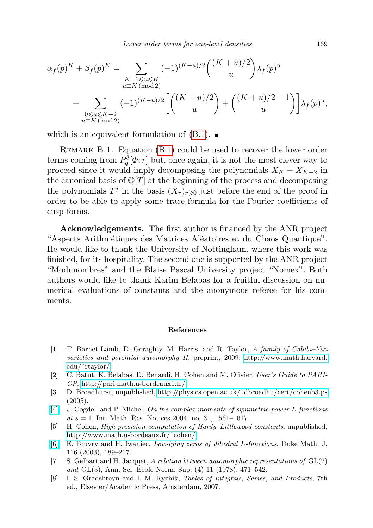$$
\alpha_f(p)^K + \beta_f(p)^K = \sum_{\substack{K-1 \le u \le K \\ u \equiv K \pmod{2}}} (-1)^{(K-u)/2} {((K+u)/2) \choose u} \lambda_f(p)^u
$$
  
+ 
$$
\sum_{\substack{0 \le u \le K-2 \\ u \equiv K \pmod{2}}} (-1)^{(K-u)/2} \left[ {((K+u)/2) \choose u} + {((K+u)/2-1) \choose u} \lambda_f(p)^u, \right]
$$

which is an equivalent formulation of  $(B.1)$ .

REMARK B.1. Equation [\(B.1\)](#page-15-0) could be used to recover the lower order terms coming from  $P_q^3[\Phi; r]$  but, once again, it is not the most clever way to proceed since it would imply decomposing the polynomials  $X_K - X_{K-2}$  in the canonical basis of  $\mathbb{Q}[T]$  at the beginning of the process and decomposing the polynomials  $T^j$  in the basis  $(X_r)_{r\geqslant 0}$  just before the end of the proof in order to be able to apply some trace formula for the Fourier coefficients of cusp forms.

Acknowledgements. The first author is financed by the ANR project "Aspects Arithmétiques des Matrices Aléatoires et du Chaos Quantique". He would like to thank the University of Nottingham, where this work was finished, for its hospitality. The second one is supported by the ANR project "Modunombres" and the Blaise Pascal University project "Nomex". Both authors would like to thank Karim Belabas for a fruitful discussion on numerical evaluations of constants and the anonymous referee for his comments.

## References

- <span id="page-16-3"></span>[1] T. Barnet-Lamb, D. Geraghty, M. Harris, and R. Taylor, A family of Calabi–Yau varieties and potential automorphy II, preprint, 2009: [http://www.math.harvard.](http://www.math.harvard.edu/~rtaylor/) [edu/˜rtaylor/.](http://www.math.harvard.edu/~rtaylor/)
- <span id="page-16-5"></span>[2] C. Batut, K. Belabas, D. Benardi, H. Cohen and M. Olivier, User's Guide to PARI-GP, [http://pari.math.u-bordeaux1.fr/.](http://pari.math.u-bordeaux1.fr/)
- <span id="page-16-6"></span>[3] D. Broadhurst, unpublished, [http://physics.open.ac.uk/˜dbroadhu/cert/cohenb3.ps](http://physics.open.ac.uk/~dbroadhu/cert/cohenb3.ps)  $(2005).$
- <span id="page-16-1"></span>[\[4\]](http://dx.doi.org/10.1155/S1073792804132455) J. Cogdell and P. Michel, On the complex moments of symmetric power L-functions at  $s = 1$ , Int. Math. Res. Notices 2004, no. 31, 1561–1617.
- <span id="page-16-4"></span>[5] H. Cohen, *High precision computation of Hardy–Littlewood constants*, unpublished, [http://www.math.u-bordeaux.fr/˜cohen/.](http://www.math.u-bordeaux.fr/~cohen/)
- <span id="page-16-0"></span>[\[6\]](http://dx.doi.org/10.1215/S0012-7094-03-11621-X) E. Fouvry and H. Iwaniec, Low-lying zeros of dihedral L-functions, Duke Math. J. 116 (2003), 189–217.
- <span id="page-16-2"></span>[7] S. Gelbart and H. Jacquet, A relation between automorphic representations of GL(2) and  $GL(3)$ , Ann. Sci. Ecole Norm. Sup.  $(4)$  11  $(1978)$ , 471–542.
- <span id="page-16-7"></span>[8] I. S. Gradshteyn and I. M. Ryzhik, Tables of Integrals, Series, and Products, 7th ed., Elsevier/Academic Press, Amsterdam, 2007.